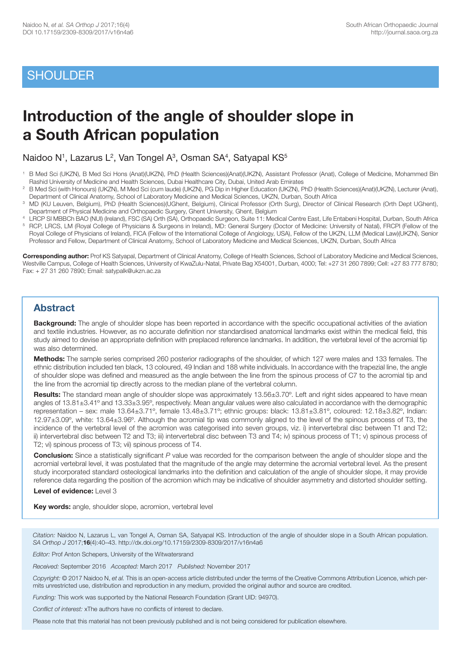# **SHOULDER**

# **Introduction of the angle of shoulder slope in a South African population**

Naidoo N<sup>1</sup>, Lazarus L<sup>2</sup>, Van Tongel A<sup>3</sup>, Osman SA<sup>4</sup>, Satyapal KS<sup>5</sup>

- 1 B Med Sci (UKZN), B Med Sci Hons (Anat)(UKZN), PhD (Health Sciences)(Anat)(UKZN), Assistant Professor (Anat), College of Medicine, Mohammed Bin Rashid University of Medicine and Health Sciences, Dubai Healthcare City, Dubai, United Arab Emirates
- <sup>2</sup> B Med Sci (with Honours) (UKZN), M Med Sci (cum laude) (UKZN), PG Dip in Higher Education (UKZN), PhD (Health Sciences)(Anat)(UKZN), Lecturer (Anat), Department of Clinical Anatomy, School of Laboratory Medicine and Medical Sciences, UKZN, Durban, South Africa
- <sup>3</sup> MD (KU Leuven, Belgium), PhD (Health Sciences)(UGhent, Belgium), Clinical Professor (Orth Surg), Director of Clinical Research (Orth Dept UGhent), Department of Physical Medicine and Orthopaedic Surgery, Ghent University, Ghent, Belgium
- <sup>4</sup> LRCP SI MBBCh BAO (NUI) (Ireland), FSC (SA) Orth (SA), Orthopaedic Surgeon, Suite 11: Medical Centre East, Life Entabeni Hospital, Durban, South Africa<br><sup>5</sup> RCP LRCS J.M. (Boyal College of Physicians & Surgeons in Irela
- 5 RCP, LRCS, LM (Royal College of Physicians & Surgeons in Ireland), MD: General Surgery (Doctor of Medicine: University of Natal), FRCPI (Fellow of the Royal College of Physicians of Ireland), FICA (Fellow of the International College of Angiology, USA), Fellow of the UKZN, LLM (Medical Law)(UKZN), Senior Professor and Fellow, Department of Clinical Anatomy, School of Laboratory Medicine and Medical Sciences, UKZN, Durban, South Africa

**Corresponding author:** Prof KS Satyapal, Department of Clinical Anatomy, College of Health Sciences, School of Laboratory Medicine and Medical Sciences, Westville Campus, College of Health Sciences, University of KwaZulu-Natal, Private Bag X54001, Durban, 4000; Tel: +27 31 260 7899; Cell: +27 83 777 8780; Fax: + 27 31 260 7890; Email: satypalk@ukzn.ac.za

# **Abstract**

**Background:** The angle of shoulder slope has been reported in accordance with the specific occupational activities of the aviation and textile industries. However, as no accurate definition nor standardised anatomical landmarks exist within the medical field, this study aimed to devise an appropriate definition with preplaced reference landmarks. In addition, the vertebral level of the acromial tip was also determined.

**Methods:** The sample series comprised 260 posterior radiographs of the shoulder, of which 127 were males and 133 females. The ethnic distribution included ten black, 13 coloured, 49 Indian and 188 white individuals. In accordance with the trapezial line, the angle of shoulder slope was defined and measured as the angle between the line from the spinous process of C7 to the acromial tip and the line from the acromial tip directly across to the median plane of the vertebral column.

**Results:** The standard mean angle of shoulder slope was approximately 13.56±3.70º. Left and right sides appeared to have mean angles of 13.81±3.41º and 13.33±3.95º, respectively. Mean angular values were also calculated in accordance with the demographic representation – sex: male 13.64±3.71º, female 13.48±3.71º; ethnic groups: black: 13.81±3.81º, coloured: 12.18±3.82º, Indian: 12.97±3.09º, white: 13.64±3.96º. Although the acromial tip was commonly aligned to the level of the spinous process of T3, the incidence of the vertebral level of the acromion was categorised into seven groups, viz. i) intervertebral disc between T1 and T2; ii) intervertebral disc between T2 and T3; iii) intervertebral disc between T3 and T4; iv) spinous process of T1; v) spinous process of T2; vi) spinous process of T3; vii) spinous process of T4.

**Conclusion:** Since a statistically significant *P* value was recorded for the comparison between the angle of shoulder slope and the acromial vertebral level, it was postulated that the magnitude of the angle may determine the acromial vertebral level. As the present study incorporated standard osteological landmarks into the definition and calculation of the angle of shoulder slope, it may provide reference data regarding the position of the acromion which may be indicative of shoulder asymmetry and distorted shoulder setting.

#### **Level of evidence:** Level 3

**Key words:** angle, shoulder slope, acromion, vertebral level

*Citation:* Naidoo N, Lazarus L, van Tongel A, Osman SA, Satyapal KS. Introduction of the angle of shoulder slope in a South African population. *SA Orthop J* 2017;**16**(4):40–43. http://dx.doi.org/10.17159/2309-8309/2017/v16n4a6

*Editor:* Prof Anton Schepers, University of the Witwatersrand

*Received:* September 2016 *Accepted:* March 2017 *Published:* November 2017

*Copyright:* © 2017 Naidoo N, *et al.* This is an open-access article distributed under the terms of the Creative Commons Attribution Licence, which permits unrestricted use, distribution and reproduction in any medium, provided the original author and source are credited.

*Funding:* This work was supported by the National Research Foundation (Grant UID: 94970).

*Conflict of interest:* xThe authors have no conflicts of interest to declare.

Please note that this material has not been previously published and is not being considered for publication elsewhere.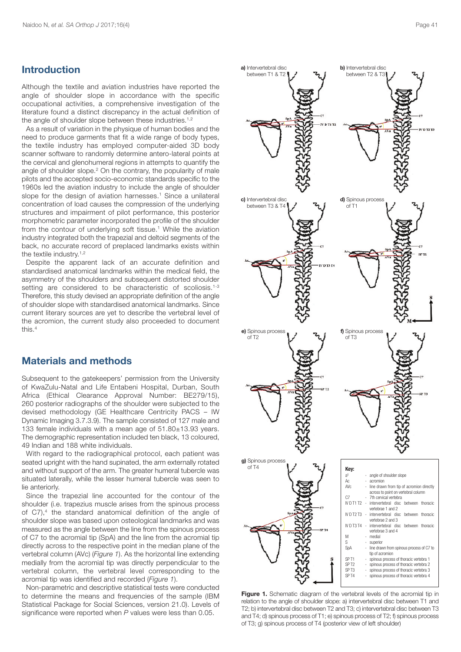### **Introduction**

Although the textile and aviation industries have reported the angle of shoulder slope in accordance with the specific occupational activities, a comprehensive investigation of the literature found a distinct discrepancy in the actual definition of the angle of shoulder slope between these industries.<sup>1,2</sup>

As a result of variation in the physique of human bodies and the need to produce garments that fit a wide range of body types, the textile industry has employed computer-aided 3D body scanner software to randomly determine antero-lateral points at the cervical and glenohumeral regions in attempts to quantify the angle of shoulder slope. <sup>2</sup> On the contrary, the popularity of male pilots and the accepted socio-economic standards specific to the 1960s led the aviation industry to include the angle of shoulder slope for the design of aviation harnesses. <sup>1</sup> Since a unilateral concentration of load causes the compression of the underlying structures and impairment of pilot performance, this posterior morphometric parameter incorporated the profile of the shoulder from the contour of underlying soft tissue. <sup>1</sup> While the aviation industry integrated both the trapezial and deltoid segments of the back, no accurate record of preplaced landmarks exists within the textile industry.<sup>1,2</sup>

Despite the apparent lack of an accurate definition and standardised anatomical landmarks within the medical field, the asymmetry of the shoulders and subsequent distorted shoulder setting are considered to be characteristic of scoliosis.<sup>1-3</sup> Therefore, this study devised an appropriate definition of the angle of shoulder slope with standardised anatomical landmarks. Since current literary sources are yet to describe the vertebral level of the acromion, the current study also proceeded to document this. 4

## **Materials and methods**

Subsequent to the gatekeepers' permission from the University of KwaZulu-Natal and Life Entabeni Hospital, Durban, South Africa (Ethical Clearance Approval Number: BE279/15), 260 posterior radiographs of the shoulder were subjected to the devised methodology (GE Healthcare Centricity PACS – IW Dynamic Imaging 3.7.3.9). The sample consisted of 127 male and 133 female individuals with a mean age of 51.80±13.93 years. The demographic representation included ten black, 13 coloured, 49 Indian and 188 white individuals.

With regard to the radiographical protocol, each patient was seated upright with the hand supinated, the arm externally rotated and without support of the arm. The greater humeral tubercle was situated laterally, while the lesser humeral tubercle was seen to lie anteriorly.

Since the trapezial line accounted for the contour of the shoulder (i.e. trapezius muscle arises from the spinous process of C7), <sup>4</sup> the standard anatomical definition of the angle of shoulder slope was based upon osteological landmarks and was measured as the angle between the line from the spinous process of C7 to the acromial tip (SpA) and the line from the acromial tip directly across to the respective point in the median plane of the vertebral column (AVc) (*Figure 1*). As the horizontal line extending medially from the acromial tip was directly perpendicular to the vertebral column, the vertebral level corresponding to the acromial tip was identified and recorded (*Figure 1*).

Non-parametric and descriptive statistical tests were conducted to determine the means and frequencies of the sample (IBM Statistical Package for Social Sciences, version 21.0). Levels of significance were reported when *P* values were less than 0.05.



**Figure 1.** Schematic diagram of the vertebral levels of the acromial tip in relation to the angle of shoulder slope: a) intervertebral disc between T1 and T2; b) intervertebral disc between T2 and T3; c) intervertebral disc between T3 and T4; d) spinous process of T1; e) spinous process of T2; f) spinous process of T3; g) spinous process of T4 (posterior view of left shoulder)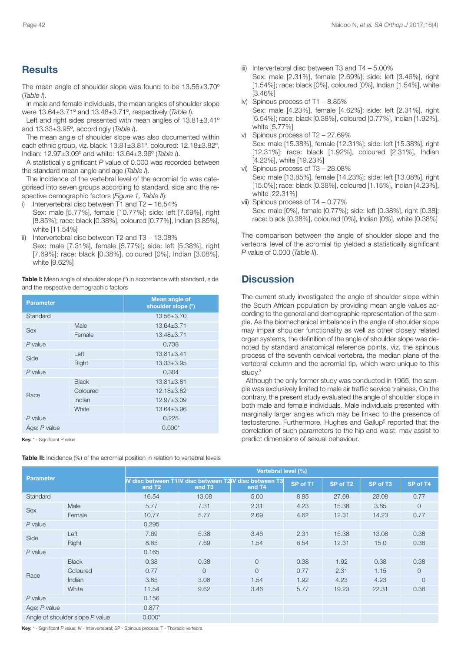# **Results**

The mean angle of shoulder slope was found to be 13.56±3.70º (*Table I*).

In male and female individuals, the mean angles of shoulder slope were 13.64±3.71º and 13.48±3.71º, respectively (*Table I*).

Left and right sides presented with mean angles of  $13.81 \pm 3.41^\circ$ and 13.33±3.95º, accordingly (*Table I*).

The mean angle of shoulder slope was also documented within each ethnic group, viz. black: 13.81±3.81º, coloured: 12.18±3.82º, Indian: 12.97±3.09º and white: 13.64±3.96º (*Table I*).

A statistically significant *P* value of 0.000 was recorded between the standard mean angle and age (*Table I*).

The incidence of the vertebral level of the acromial tip was categorised into seven groups according to standard, side and the respective demographic factors (*Figure 1, Table II*):

- i) Intervertebral disc between T1 and T2 16.54%
- Sex: male [5.77%], female [10.77%]; side: left [7.69%], right [8.85%]; race: black [0.38%], coloured [0.77%], Indian [3.85%], white [11.54%]
- ii) Intervertebral disc between T2 and T3 13.08% Sex: male [7.31%], female [5.77%]; side: left [5.38%], right [7.69%]; race: black [0.38%], coloured [0%], Indian [3.08%], white [9.62%]

**Table I:** Mean angle of shoulder slope (°) in accordance with standard, side and the respective demographic factors

| <b>Parameter</b> |              | Mean angle of<br>shoulder slope (°) |  |  |  |
|------------------|--------------|-------------------------------------|--|--|--|
| Standard         |              | 13.56±3.70                          |  |  |  |
| <b>Sex</b>       | Male         | $13.64 \pm 3.71$                    |  |  |  |
|                  | Female       | $13.48 \pm 3.71$                    |  |  |  |
| $P$ value        |              | 0.738                               |  |  |  |
| Side             | Left         | $13.81 \pm 3.41$                    |  |  |  |
|                  | Right        | $13.33 + 3.95$                      |  |  |  |
| $P$ value        |              | 0.304                               |  |  |  |
| Race             | <b>Black</b> | $13.81 \pm 3.81$                    |  |  |  |
|                  | Coloured     | $12.18 \pm 3.82$                    |  |  |  |
|                  | Indian       | $12.97 + 3.09$                      |  |  |  |
|                  | White        | $13.64 \pm 3.96$                    |  |  |  |
| $P$ value        |              | 0.225                               |  |  |  |
| Age: P value     |              | $0.000*$                            |  |  |  |

**Key:** \* - Significant P value

**Table II:** Incidence (%) of the acromial position in relation to vertebral levels

- iii) Intervertebral disc between T3 and T4  $5.00\%$  Sex: male [2.31%], female [2.69%]; side: left [3.46%], right [1.54%]; race: black [0%], coloured [0%], Indian [1.54%], white [3.46%]
- iv) Spinous process of T1 8.85% Sex: male [4.23%], female [4.62%]; side: left [2.31%], right [6.54%]; race: black [0.38%], coloured [0.77%], Indian [1.92%], white [5.77%]
- v) Spinous process of T2 27.69% Sex: male [15.38%], female [12.31%]; side: left [15.38%], right [12.31%]; race: black [1.92%], coloured [2.31%], Indian [4.23%], white [19.23%]
- vi) Spinous process of T3 28.08% Sex: male [13.85%], female [14.23%]; side: left [13.08%], right [15.0%]; race: black [0.38%], coloured [1.15%], Indian [4.23%], white [22.31%]
- vii) Spinous process of T4 0.77%
	- Sex: male [0%], female [0.77%]; side: left [0.38%], right [0.38]; race: black [0.38%], coloured [0%], Indian [0%], white [0.38%]

The comparison between the angle of shoulder slope and the vertebral level of the acromial tip yielded a statistically significant *P* value of 0.000 (*Table II*).

# **Discussion**

The current study investigated the angle of shoulder slope within the South African population by providing mean angle values according to the general and demographic representation of the sample. As the biomechanical imbalance in the angle of shoulder slope may impair shoulder functionality as well as other closely related organ systems, the definition of the angle of shoulder slope was denoted by standard anatomical reference points, viz. the spinous process of the seventh cervical vertebra, the median plane of the vertebral column and the acromial tip, which were unique to this study. 3

Although the only former study was conducted in 1965, the sample was exclusively limited to male air traffic service trainees. On the contrary, the present study evaluated the angle of shoulder slope in both male and female individuals. Male individuals presented with marginally larger angles which may be linked to the presence of testosterone. Furthermore, Hughes and Gallup<sup>5</sup> reported that the correlation of such parameters to the hip and waist, may assist to predict dimensions of sexual behaviour.

| <b>Parameter</b>                |              | <b>Vertebral level (%)</b> |                    |                                                                     |          |          |          |                |  |
|---------------------------------|--------------|----------------------------|--------------------|---------------------------------------------------------------------|----------|----------|----------|----------------|--|
|                                 |              | and T <sub>2</sub>         | and T <sub>3</sub> | IV disc between T1 IV disc between T2 IV disc between T3 <br>and T4 | SP of T1 | SP of T2 | SP of T3 | SP of T4       |  |
| Standard                        |              | 16.54                      | 13.08              | 5.00                                                                | 8.85     | 27.69    | 28.08    | 0.77           |  |
| Sex                             | Male         | 5.77                       | 7.31               | 2.31                                                                | 4.23     | 15.38    | 3.85     | $\overline{O}$ |  |
|                                 | Female       | 10.77                      | 5.77               | 2.69                                                                | 4.62     | 12.31    | 14.23    | 0.77           |  |
| $P$ value                       |              | 0.295                      |                    |                                                                     |          |          |          |                |  |
| Side                            | Left         | 7.69                       | 5.38               | 3.46                                                                | 2.31     | 15.38    | 13.08    | 0.38           |  |
|                                 | Right        | 8.85                       | 7.69               | 1.54                                                                | 6.54     | 12.31    | 15.0     | 0.38           |  |
| $P$ value                       |              | 0.165                      |                    |                                                                     |          |          |          |                |  |
| Race                            | <b>Black</b> | 0.38                       | 0.38               | $\overline{0}$                                                      | 0.38     | 1.92     | 0.38     | 0.38           |  |
|                                 | Coloured     | 0.77                       | $\Omega$           | $\overline{O}$                                                      | 0.77     | 2.31     | 1.15     | $\circ$        |  |
|                                 | Indian       | 3.85                       | 3.08               | 1.54                                                                | 1.92     | 4.23     | 4.23     | $\overline{0}$ |  |
|                                 | White        | 11.54                      | 9.62               | 3.46                                                                | 5.77     | 19.23    | 22.31    | 0.38           |  |
| $P$ value                       |              | 0.156                      |                    |                                                                     |          |          |          |                |  |
| Age: P value                    |              | 0.877                      |                    |                                                                     |          |          |          |                |  |
| Angle of shoulder slope P value |              | $0.000*$                   |                    |                                                                     |          |          |          |                |  |

**Key:** \* - Significant *P* value; IV - Intervertebral; SP - Spinous process; T - Thoracic vertebra